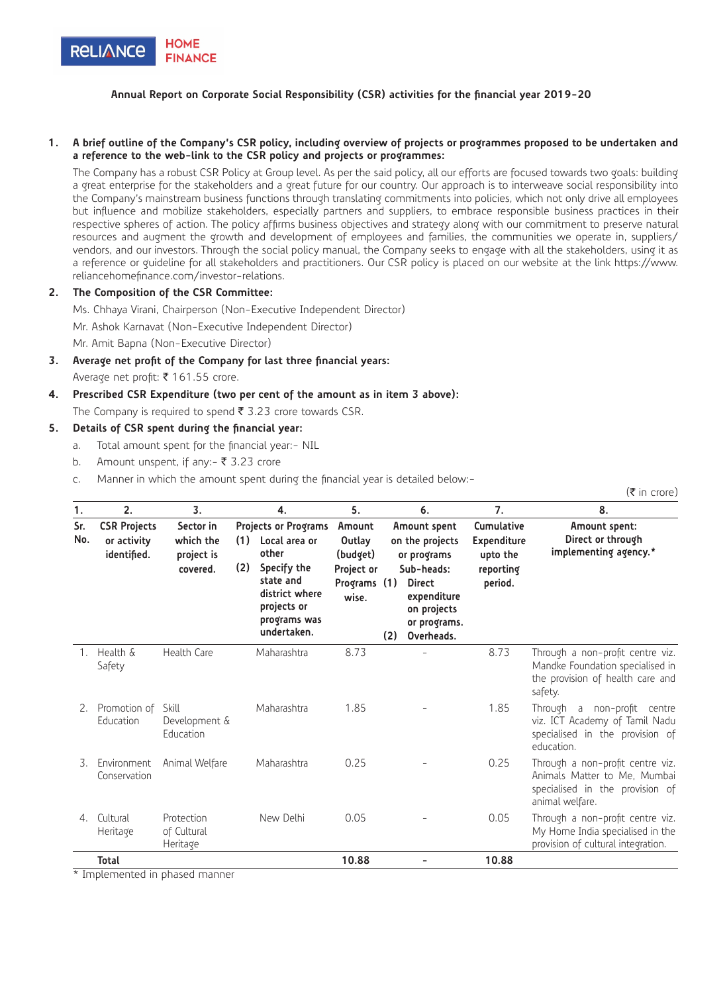

### **Annual Report on Corporate Social Responsibility (CSR) activities for the financial year 2019-20**

#### **1. A brief outline of the Company's CSR policy, including overview of projects or programmes proposed to be undertaken and a reference to the web-link to the CSR policy and projects or programmes:**

The Company has a robust CSR Policy at Group level. As per the said policy, all our efforts are focused towards two goals: building a great enterprise for the stakeholders and a great future for our country. Our approach is to interweave social responsibility into the Company's mainstream business functions through translating commitments into policies, which not only drive all employees but influence and mobilize stakeholders, especially partners and suppliers, to embrace responsible business practices in their respective spheres of action. The policy affirms business objectives and strategy along with our commitment to preserve natural resources and augment the growth and development of employees and families, the communities we operate in, suppliers/ vendors, and our investors. Through the social policy manual, the Company seeks to engage with all the stakeholders, using it as a reference or guideline for all stakeholders and practitioners. Our CSR policy is placed on our website at the link https://www. reliancehomefinance.com/investor-relations.

### **2. The Composition of the CSR Committee:**

Ms. Chhaya Virani, Chairperson (Non-Executive Independent Director) Mr. Ashok Karnavat (Non-Executive Independent Director) Mr. Amit Bapna (Non-Executive Director)

- **3. Average net profit of the Company for last three financial years:** Average net profit: ₹ 161.55 crore.
- **4. Prescribed CSR Expenditure (two per cent of the amount as in item 3 above):** The Company is required to spend  $\bar{\tau}$  3.23 crore towards CSR.

## **5. Details of CSR spent during the financial year:**

- a. Total amount spent for the financial year:- NIL
- b. Amount unspent, if any:-  $\bar{z}$  3.23 crore
- c. Manner in which the amount spent during the financial year is detailed below:-

| 1.         | 2.                                                | 3.                                               | 4.                                                                                                                                                              | 5.                                                                  |     | 6.                                                                                                                                        | 7.                                                                   | 8.                                                                                                                     |
|------------|---------------------------------------------------|--------------------------------------------------|-----------------------------------------------------------------------------------------------------------------------------------------------------------------|---------------------------------------------------------------------|-----|-------------------------------------------------------------------------------------------------------------------------------------------|----------------------------------------------------------------------|------------------------------------------------------------------------------------------------------------------------|
| Sr.<br>No. | <b>CSR Projects</b><br>or activity<br>identified. | Sector in<br>which the<br>project is<br>covered. | <b>Projects or Programs</b><br>(1)<br>Local area or<br>other<br>(2)<br>Specify the<br>state and<br>district where<br>projects or<br>programs was<br>undertaken. | Amount<br>Outlav<br>(budget)<br>Project or<br>Programs (1)<br>wise. | (2) | Amount spent<br>on the projects<br>or programs<br>Sub-heads:<br><b>Direct</b><br>expenditure<br>on projects<br>or programs.<br>Overheads. | Cumulative<br><b>Expenditure</b><br>upto the<br>reporting<br>period. | Amount spent:<br>Direct or through<br>implementing agency.*                                                            |
| 1.         | Health &<br>Safety                                | Health Care                                      | Maharashtra                                                                                                                                                     | 8.73                                                                |     |                                                                                                                                           | 8.73                                                                 | Through a non-profit centre viz.<br>Mandke Foundation specialised in<br>the provision of health care and<br>safety.    |
| 2.         | Promotion of<br>Education                         | Skill<br>Development &<br>Education              | Maharashtra                                                                                                                                                     | 1.85                                                                |     |                                                                                                                                           | 1.85                                                                 | Through a non-profit centre<br>viz. ICT Academy of Tamil Nadu<br>specialised in the provision of<br>education.         |
| 3.         | Environment<br>Conservation                       | Animal Welfare                                   | Maharashtra                                                                                                                                                     | 0.25                                                                |     |                                                                                                                                           | 0.25                                                                 | Through a non-profit centre viz.<br>Animals Matter to Me, Mumbai<br>specialised in the provision of<br>animal welfare. |
| 4.         | Cultural<br>Heritage                              | Protection<br>of Cultural<br>Heritage            | New Delhi                                                                                                                                                       | 0.05                                                                |     |                                                                                                                                           | 0.05                                                                 | Through a non-profit centre viz.<br>My Home India specialised in the<br>provision of cultural integration.             |
|            | <b>Total</b>                                      |                                                  |                                                                                                                                                                 | 10.88                                                               |     |                                                                                                                                           | 10.88                                                                |                                                                                                                        |

 $(\bar{\bar{\tau}}$  in crore)

\* Implemented in phased manner